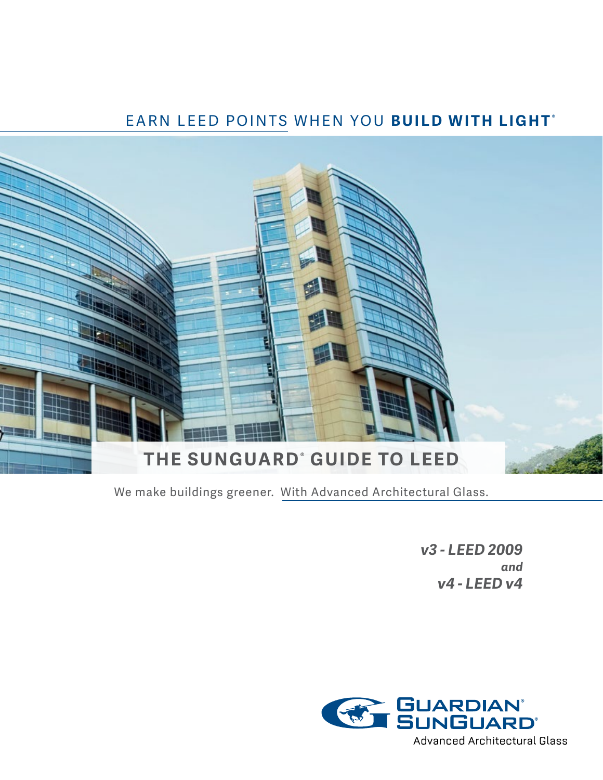### EARN LEED POINTS WHEN YOU **BUILD WITH LIGHT®**



We make buildings greener. With Advanced Architectural Glass.

*v3 - LEED 2009 and v4 - LEED v4*

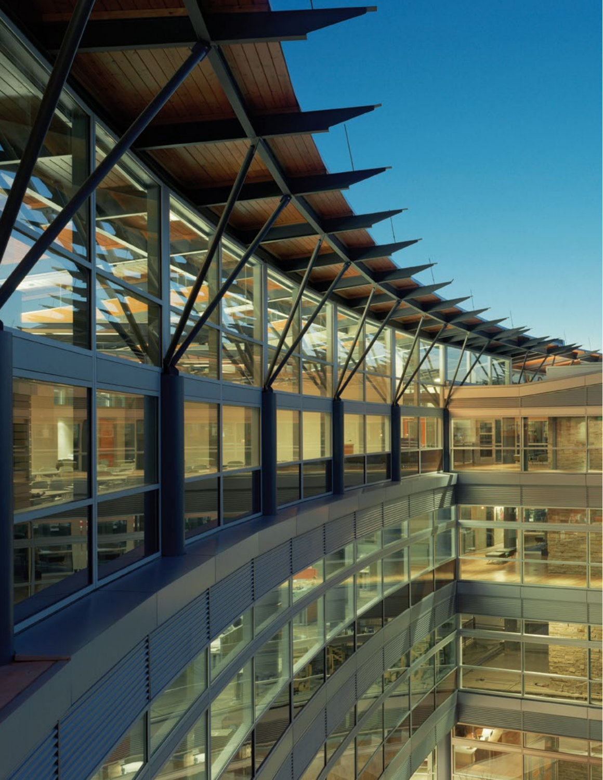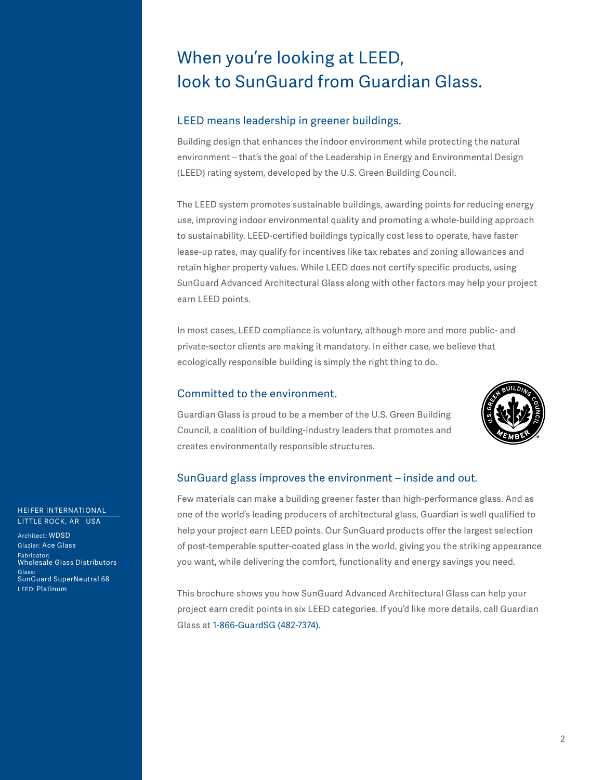## When you're looking at LEED, look to SunGuard from Guardian Glass.

#### LEED means leadership in greener buildings.

Building design that enhances the indoor environment while protecting the natural environment – that's the goal of the Leadership in Energy and Environmental Design (LEED) rating system, developed by the U.S. Green Building Council.

The LEED system promotes sustainable buildings, awarding points for reducing energy use, improving indoor environmental quality and promoting a whole-building approach to sustainability. LEED-certified buildings typically cost less to operate, have faster lease-up rates, may qualify for incentives like tax rebates and zoning allowances and retain higher property values. While LEED does not certify specific products, using SunGuard Advanced Architectural Glass along with other factors may help your project earn LEED points.

In most cases, LEED compliance is voluntary, although more and more public- and private-sector clients are making it mandatory. In either case, we believe that ecologically responsible building is simply the right thing to do.

#### Committed to the environment.



Guardian Glass is proud to be a member of the U.S. Green Building Council, a coalition of building-industry leaders that promotes and creates environmentally responsible structures.

### SunGuard glass improves the environment – inside and out*.*

Few materials can make a building greener faster than high-performance glass. And as one of the world's leading producers of architectural glass, Guardian is well qualified to help your project earn LEED points. Our SunGuard products offer the largest selection of post-temperable sputter-coated glass in the world, giving you the striking appearance you want, while delivering the comfort, functionality and energy savings you need.

This brochure shows you how SunGuard Advanced Architectural Glass can help your project earn credit points in six LEED categories. If you'd like more details, call Guardian Glass at 1-866-GuardSG (482-7374).

#### HEIFER INTERNATIONAL LITTLE ROCK, AR USA

Architect: WDSD Glazier: Ace Glass Fabricator: Wholesale Glass Distributors Glass: SunGuard SuperNeutral 68 LEED: Platinum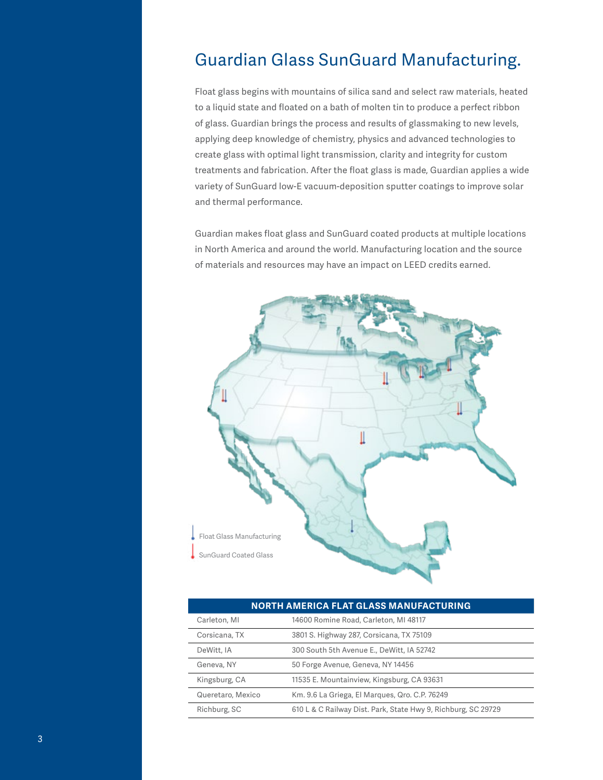### Guardian Glass SunGuard Manufacturing.

Float glass begins with mountains of silica sand and select raw materials, heated to a liquid state and floated on a bath of molten tin to produce a perfect ribbon of glass. Guardian brings the process and results of glassmaking to new levels, applying deep knowledge of chemistry, physics and advanced technologies to create glass with optimal light transmission, clarity and integrity for custom treatments and fabrication. After the float glass is made, Guardian applies a wide variety of SunGuard low-E vacuum-deposition sputter coatings to improve solar and thermal performance.

Guardian makes float glass and SunGuard coated products at multiple locations in North America and around the world. Manufacturing location and the source of materials and resources may have an impact on LEED credits earned.



|                   | <b>NORTH AMERICA FLAT GLASS MANUFACTURING</b>                 |
|-------------------|---------------------------------------------------------------|
| Carleton, MI      | 14600 Romine Road, Carleton, MI 48117                         |
| Corsicana, TX     | 3801 S. Highway 287, Corsicana, TX 75109                      |
| DeWitt, IA        | 300 South 5th Avenue E., DeWitt, IA 52742                     |
| Geneva, NY        | 50 Forge Avenue, Geneva, NY 14456                             |
| Kingsburg, CA     | 11535 E. Mountainview, Kingsburg, CA 93631                    |
| Queretaro, Mexico | Km. 9.6 La Griega, El Marques, Qro. C.P. 76249                |
| Richburg, SC      | 610 L & C Railway Dist. Park, State Hwy 9, Richburg, SC 29729 |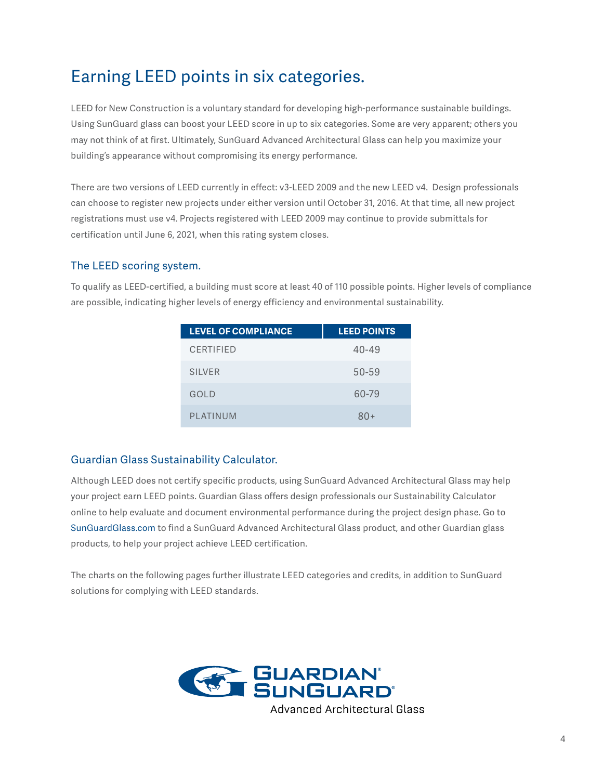## Earning LEED points in six categories.

LEED for New Construction is a voluntary standard for developing high-performance sustainable buildings. Using SunGuard glass can boost your LEED score in up to six categories. Some are very apparent; others you may not think of at first. Ultimately, SunGuard Advanced Architectural Glass can help you maximize your building's appearance without compromising its energy performance.

There are two versions of LEED currently in effect: v3-LEED 2009 and the new LEED v4. Design professionals can choose to register new projects under either version until October 31, 2016. At that time, all new project registrations must use v4. Projects registered with LEED 2009 may continue to provide submittals for certification until June 6, 2021, when this rating system closes.

#### The LEED scoring system.

To qualify as LEED-certified, a building must score at least 40 of 110 possible points. Higher levels of compliance are possible, indicating higher levels of energy efficiency and environmental sustainability.

| <b>LEVEL OF COMPLIANCE</b> | <b>LEED POINTS</b> |
|----------------------------|--------------------|
| <b>CERTIFIED</b>           | $40 - 49$          |
| SII VFR                    | 50-59              |
| GOI D                      | 60-79              |
| PI ATINUM                  | 80+                |

#### Guardian Glass Sustainability Calculator.

Although LEED does not certify specific products, using SunGuard Advanced Architectural Glass may help your project earn LEED points. Guardian Glass offers design professionals our Sustainability Calculator online to help evaluate and document environmental performance during the project design phase. Go to SunGuardGlass.com to find a SunGuard Advanced Architectural Glass product, and other Guardian glass products, to help your project achieve LEED certification.

The charts on the following pages further illustrate LEED categories and credits, in addition to SunGuard solutions for complying with LEED standards.

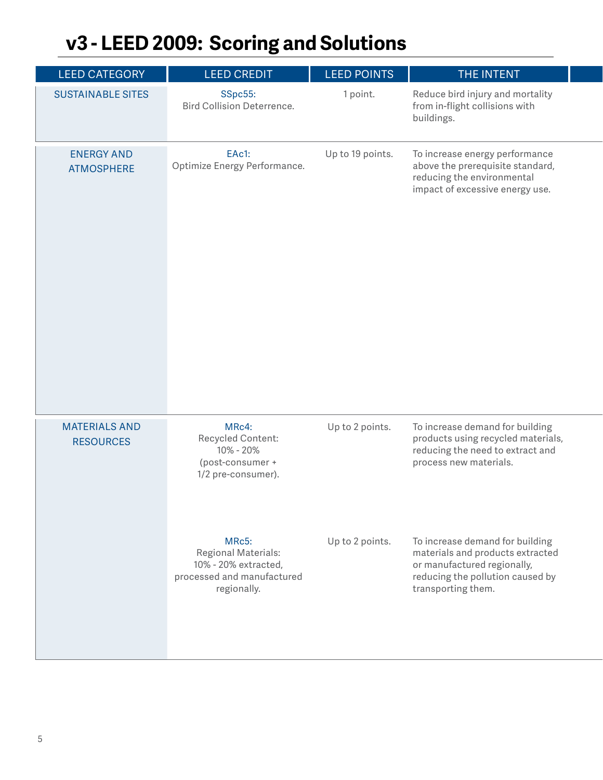# **v3 - LEED 2009: Scoring and Solutions**

| <b>LEED CATEGORY</b>                     | <b>LEED CREDIT</b>                                                                                | LEED POINTS      | THE INTENT                                                                                                                                                   |  |
|------------------------------------------|---------------------------------------------------------------------------------------------------|------------------|--------------------------------------------------------------------------------------------------------------------------------------------------------------|--|
| <b>SUSTAINABLE SITES</b>                 | SSpc55:<br><b>Bird Collision Deterrence.</b>                                                      | 1 point.         | Reduce bird injury and mortality<br>from in-flight collisions with<br>buildings.                                                                             |  |
| <b>ENERGY AND</b><br><b>ATMOSPHERE</b>   | EAc1:<br>Optimize Energy Performance.                                                             | Up to 19 points. | To increase energy performance<br>above the prerequisite standard,<br>reducing the environmental<br>impact of excessive energy use.                          |  |
| <b>MATERIALS AND</b><br><b>RESOURCES</b> | MRc4:<br>Recycled Content:<br>10% - 20%<br>(post-consumer +<br>1/2 pre-consumer).                 | Up to 2 points.  | To increase demand for building<br>products using recycled materials,<br>reducing the need to extract and<br>process new materials.                          |  |
|                                          | MRc5:<br>Regional Materials:<br>10% - 20% extracted,<br>processed and manufactured<br>regionally. | Up to 2 points.  | To increase demand for building<br>materials and products extracted<br>or manufactured regionally,<br>reducing the pollution caused by<br>transporting them. |  |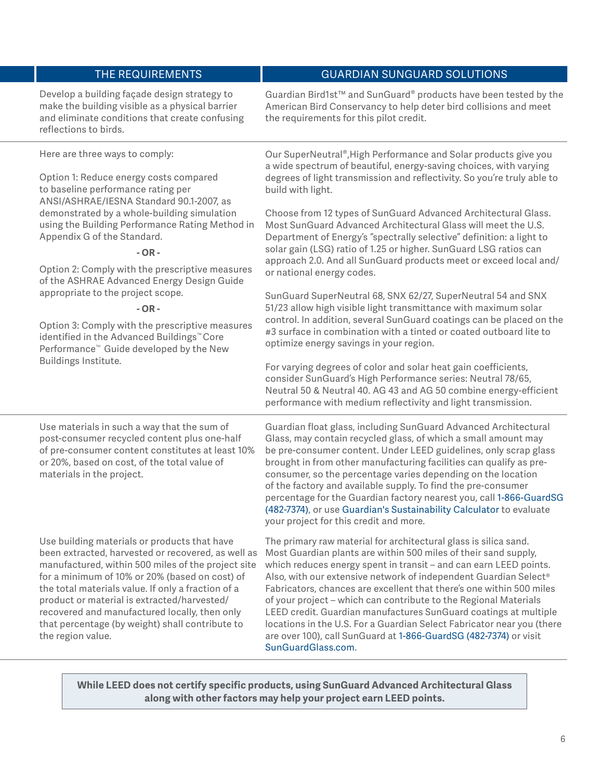#### THE REQUIREMENTS **LEEP CONTAINT CONTAINMENTS** GUARDIAN SUNGUARD SOLUTIONS

Develop a building façade design strategy to make the building visible as a physical barrier and eliminate conditions that create confusing reflections to birds.

Here are three ways to comply:

Option 1: Reduce energy costs compared to baseline performance rating per ANSI/ASHRAE/IESNA Standard 90.1-2007, as demonstrated by a whole-building simulation using the Building Performance Rating Meth Appendix G of the Standard.

#### **- OR -**

Option 2: Comply with the prescriptive meas of the ASHRAE Advanced Energy Design Gui appropriate to the project scope.

| Option 3: Comply with the prescriptive measures |
|-------------------------------------------------|
| identified in the Advanced Buildings™ Core      |
| Performance™ Guide developed by the New         |
| Buildings Institute.                            |
|                                                 |

**- OR -**

Use materials in such a way that the sum of post-consumer recycled content plus one-ha of pre-consumer content constitutes at least or 20%, based on cost, of the total value of materials in the project.

Use building materials or products that have been extracted, harvested or recovered, as well as manufactured, within 500 miles of the project site for a minimum of 10% or 20% (based on cost) of the total materials value. If only a fraction of a product or material is extracted/harvested/ recovered and manufactured locally, then only that percentage (by weight) shall contribute to the region value.

Guardian Bird1st™ and SunGuard® products have been tested by the American Bird Conservancy to help deter bird collisions and meet the requirements for this pilot credit.

|                            | Our SuperNeutral®, High Performance and Solar products give you<br>a wide spectrum of beautiful, energy-saving choices, with varying<br>degrees of light transmission and reflectivity. So you're truly able to<br>build with light.                                                                                                                                                                                                                                                                                                                                                                 |
|----------------------------|------------------------------------------------------------------------------------------------------------------------------------------------------------------------------------------------------------------------------------------------------------------------------------------------------------------------------------------------------------------------------------------------------------------------------------------------------------------------------------------------------------------------------------------------------------------------------------------------------|
| n<br>od in<br>sures<br>ide | Choose from 12 types of SunGuard Advanced Architectural Glass.<br>Most SunGuard Advanced Architectural Glass will meet the U.S.<br>Department of Energy's "spectrally selective" definition: a light to<br>solar gain (LSG) ratio of 1.25 or higher. SunGuard LSG ratios can<br>approach 2.0. And all SunGuard products meet or exceed local and/<br>or national energy codes.                                                                                                                                                                                                                       |
| sures                      | SunGuard SuperNeutral 68, SNX 62/27, SuperNeutral 54 and SNX<br>51/23 allow high visible light transmittance with maximum solar<br>control. In addition, several SunGuard coatings can be placed on the<br>#3 surface in combination with a tinted or coated outboard lite to<br>optimize energy savings in your region.                                                                                                                                                                                                                                                                             |
|                            | For varying degrees of color and solar heat gain coefficients,<br>consider SunGuard's High Performance series: Neutral 78/65,<br>Neutral 50 & Neutral 40. AG 43 and AG 50 combine energy-efficient<br>performance with medium reflectivity and light transmission.                                                                                                                                                                                                                                                                                                                                   |
| alf<br>t 10%               | Guardian float glass, including SunGuard Advanced Architectural<br>Glass, may contain recycled glass, of which a small amount may<br>be pre-consumer content. Under LEED guidelines, only scrap glass<br>brought in from other manufacturing facilities can qualify as pre-<br>consumer, so the percentage varies depending on the location<br>of the factory and available supply. To find the pre-consumer<br>percentage for the Guardian factory nearest you, call 1-866-GuardSG<br>(482-7374), or use Guardian's Sustainability Calculator to evaluate<br>your project for this credit and more. |

The primary raw material for architectural glass is silica sand. Most Guardian plants are within 500 miles of their sand supply, which reduces energy spent in transit – and can earn LEED points. Also, with our extensive network of independent Guardian Select® Fabricators, chances are excellent that there's one within 500 miles of your project – which can contribute to the Regional Materials LEED credit. Guardian manufactures SunGuard coatings at multiple locations in the U.S. For a Guardian Select Fabricator near you (there are over 100), call SunGuard at 1-866-GuardSG (482-7374) or visit SunGuardGlass.com.

**While LEED does not certify specific products, using SunGuard Advanced Architectural Glass along with other factors may help your project earn LEED points.**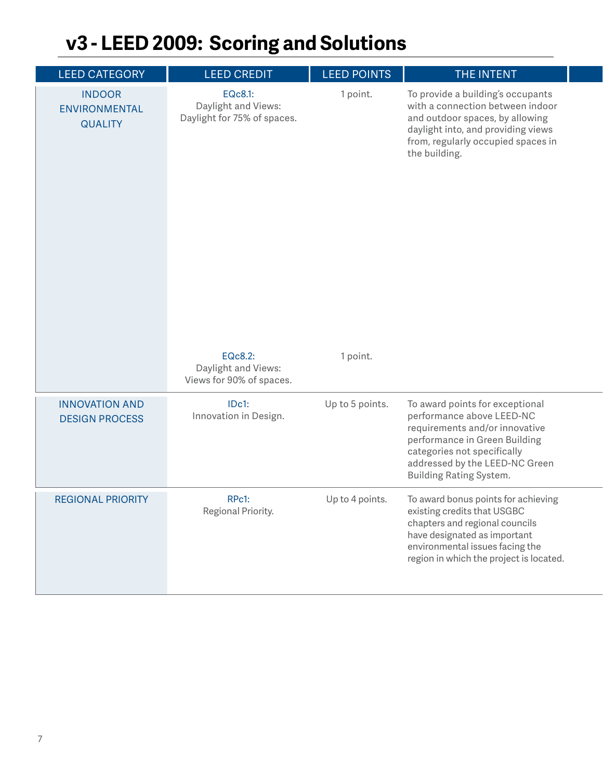## **v3 - LEED 2009: Scoring and Solutions**

| <b>LEED CATEGORY</b>                             | <b>LEED CREDIT</b>                                            | LEED POINTS     | THE INTENT                                                                                                                                                                                                                         |  |
|--------------------------------------------------|---------------------------------------------------------------|-----------------|------------------------------------------------------------------------------------------------------------------------------------------------------------------------------------------------------------------------------------|--|
| <b>INDOOR</b><br>ENVIRONMENTAL<br><b>QUALITY</b> | EQc8.1:<br>Daylight and Views:<br>Daylight for 75% of spaces. | 1 point.        | To provide a building's occupants<br>with a connection between indoor<br>and outdoor spaces, by allowing<br>daylight into, and providing views<br>from, regularly occupied spaces in<br>the building.                              |  |
|                                                  | EQc8.2:<br>Daylight and Views:<br>Views for 90% of spaces.    | 1 point.        |                                                                                                                                                                                                                                    |  |
| <b>INNOVATION AND</b><br><b>DESIGN PROCESS</b>   | IDc1:<br>Innovation in Design.                                | Up to 5 points. | To award points for exceptional<br>performance above LEED-NC<br>requirements and/or innovative<br>performance in Green Building<br>categories not specifically<br>addressed by the LEED-NC Green<br><b>Building Rating System.</b> |  |
| <b>REGIONAL PRIORITY</b>                         | RPc1:<br>Regional Priority.                                   | Up to 4 points. | To award bonus points for achieving<br>existing credits that USGBC<br>chapters and regional councils<br>have designated as important<br>environmental issues facing the<br>region in which the project is located.                 |  |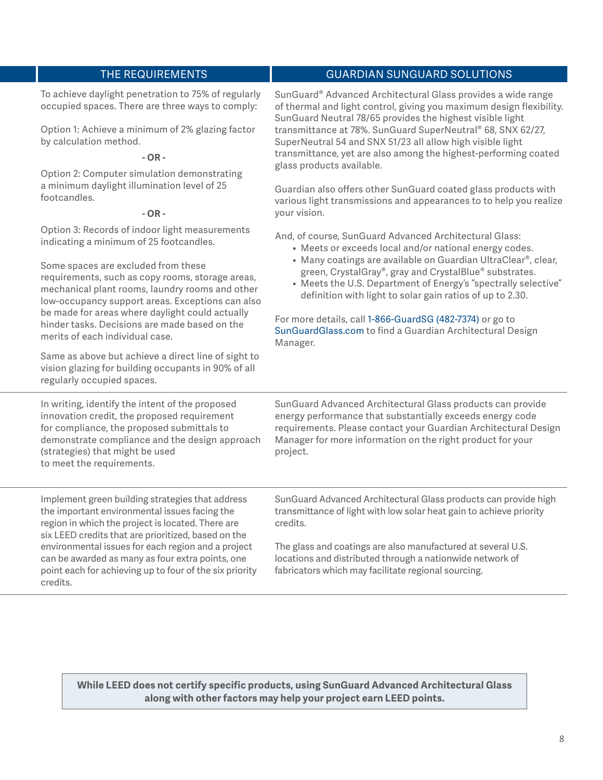To achieve daylight penetration to 75% of regularly occupied spaces. There are three ways to comply:

Option 1: Achieve a minimum of 2% glazing factor by calculation method.

**- OR -**

Option 2: Computer simulation demonstrating a minimum daylight illumination level of 25 footcandles.

**- OR -**

Option 3: Records of indoor light measurements indicating a minimum of 25 footcandles.

Some spaces are excluded from these requirements, such as copy rooms, storage areas, mechanical plant rooms, laundry rooms and other low-occupancy support areas. Exceptions can also be made for areas where daylight could actually hinder tasks. Decisions are made based on the merits of each individual case.

Same as above but achieve a direct line of sight to vision glazing for building occupants in 90% of all regularly occupied spaces.

In writing, identify the intent of the proposed innovation credit, the proposed requirement for compliance, the proposed submittals to demonstrate compliance and the design approach (strategies) that might be used to meet the requirements.

Implement green building strategies that address the important environmental issues facing the region in which the project is located. There are six LEED credits that are prioritized, based on the environmental issues for each region and a project can be awarded as many as four extra points, one point each for achieving up to four of the six priority credits.

#### THE REQUIREMENTS EXAMPLE THE REQUIREMENTS THE REQUIREMENTS

SunGuard® Advanced Architectural Glass provides a wide range of thermal and light control, giving you maximum design flexibility. SunGuard Neutral 78/65 provides the highest visible light transmittance at 78%. SunGuard SuperNeutral® 68, SNX 62/27, SuperNeutral 54 and SNX 51/23 all allow high visible light transmittance, yet are also among the highest-performing coated glass products available.

Guardian also offers other SunGuard coated glass products with various light transmissions and appearances to to help you realize your vision.

And, of course, SunGuard Advanced Architectural Glass:

- Meets or exceeds local and/or national energy codes.
- Many coatings are available on Guardian UltraClear®, clear, green, CrystalGray®, gray and CrystalBlue® substrates.
- Meets the U.S. Department of Energy's "spectrally selective" definition with light to solar gain ratios of up to 2.30.

For more details, call 1-866-GuardSG (482-7374) or go to SunGuardGlass.com to find a Guardian Architectural Design Manager.

SunGuard Advanced Architectural Glass products can provide energy performance that substantially exceeds energy code requirements. Please contact your Guardian Architectural Design Manager for more information on the right product for your project.

SunGuard Advanced Architectural Glass products can provide high transmittance of light with low solar heat gain to achieve priority credits.

The glass and coatings are also manufactured at several U.S. locations and distributed through a nationwide network of fabricators which may facilitate regional sourcing.

**While LEED does not certify specific products, using SunGuard Advanced Architectural Glass along with other factors may help your project earn LEED points.**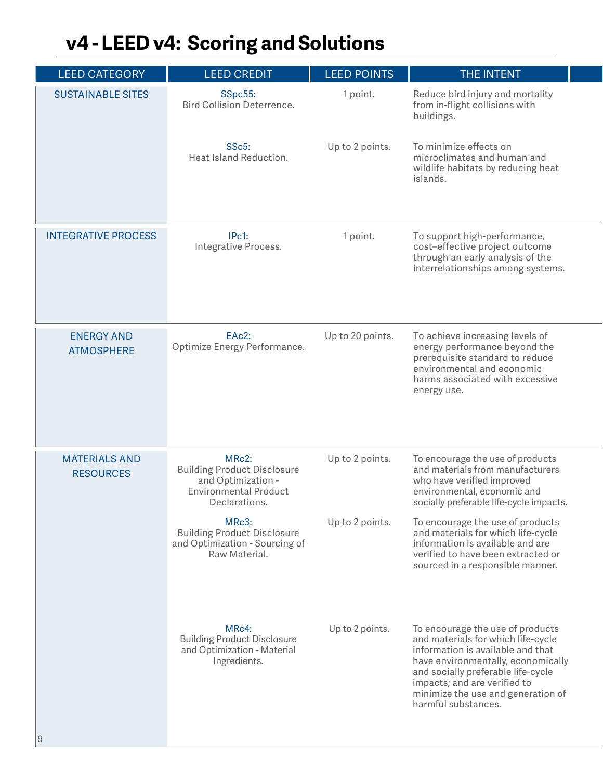## **v4 - LEED v4: Scoring and Solutions**

| <b>LEED CATEGORY</b>                     | <b>LEED CREDIT</b>                                                                                                 | LEED POINTS      | THE INTENT                                                                                                                                                                                                                                                                           |  |
|------------------------------------------|--------------------------------------------------------------------------------------------------------------------|------------------|--------------------------------------------------------------------------------------------------------------------------------------------------------------------------------------------------------------------------------------------------------------------------------------|--|
| <b>SUSTAINABLE SITES</b>                 | SSpc55:<br><b>Bird Collision Deterrence.</b>                                                                       | 1 point.         | Reduce bird injury and mortality<br>from in-flight collisions with<br>buildings.                                                                                                                                                                                                     |  |
|                                          | SSc <sub>5</sub> :<br>Heat Island Reduction.                                                                       | Up to 2 points.  | To minimize effects on<br>microclimates and human and<br>wildlife habitats by reducing heat<br>islands.                                                                                                                                                                              |  |
| <b>INTEGRATIVE PROCESS</b>               | IPc1:<br>Integrative Process.                                                                                      | 1 point.         | To support high-performance,<br>cost-effective project outcome<br>through an early analysis of the<br>interrelationships among systems.                                                                                                                                              |  |
| <b>ENERGY AND</b><br><b>ATMOSPHERE</b>   | EAc2:<br>Optimize Energy Performance.                                                                              | Up to 20 points. | To achieve increasing levels of<br>energy performance beyond the<br>prerequisite standard to reduce<br>environmental and economic<br>harms associated with excessive<br>energy use.                                                                                                  |  |
| <b>MATERIALS AND</b><br><b>RESOURCES</b> | MRc2:<br><b>Building Product Disclosure</b><br>and Optimization -<br><b>Environmental Product</b><br>Declarations. | Up to 2 points.  | To encourage the use of products<br>and materials from manufacturers<br>who have verified improved<br>environmental, economic and<br>socially preferable life-cycle impacts.                                                                                                         |  |
|                                          | MRc3:<br><b>Building Product Disclosure</b><br>and Optimization - Sourcing of<br>Raw Material.                     | Up to 2 points.  | To encourage the use of products<br>and materials for which life-cycle<br>information is available and are<br>verified to have been extracted or<br>sourced in a responsible manner.                                                                                                 |  |
|                                          | MRc4:<br><b>Building Product Disclosure</b><br>and Optimization - Material<br>Ingredients.                         | Up to 2 points.  | To encourage the use of products<br>and materials for which life-cycle<br>information is available and that<br>have environmentally, economically<br>and socially preferable life-cycle<br>impacts; and are verified to<br>minimize the use and generation of<br>harmful substances. |  |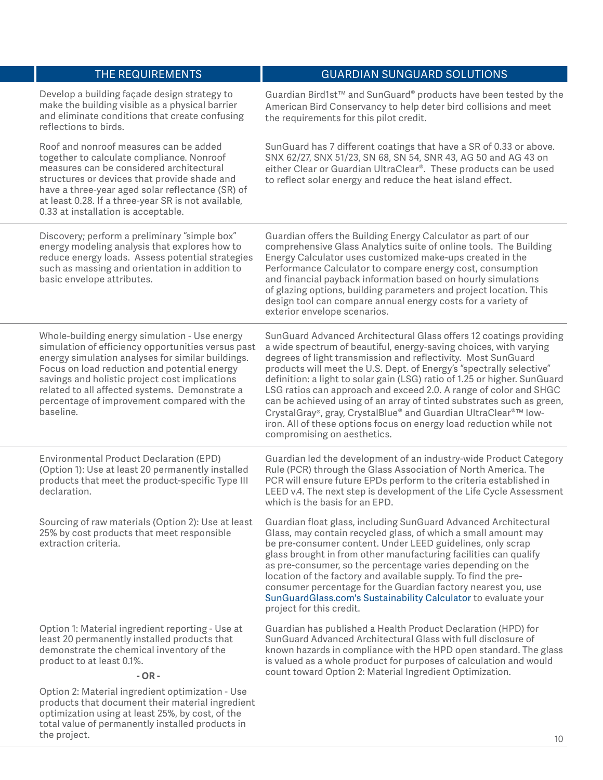| <b>THE REQUIREMENTS</b>                                                                                                                                                                                                                                                                                                                                                  | <b>GUARDIAN SUNGUARD SOLUTIONS</b>                                                                                                                                                                                                                                                                                                                                                                                                                                                                                                                                                                                                                                                   |
|--------------------------------------------------------------------------------------------------------------------------------------------------------------------------------------------------------------------------------------------------------------------------------------------------------------------------------------------------------------------------|--------------------------------------------------------------------------------------------------------------------------------------------------------------------------------------------------------------------------------------------------------------------------------------------------------------------------------------------------------------------------------------------------------------------------------------------------------------------------------------------------------------------------------------------------------------------------------------------------------------------------------------------------------------------------------------|
| Develop a building façade design strategy to<br>make the building visible as a physical barrier<br>and eliminate conditions that create confusing<br>reflections to birds.                                                                                                                                                                                               | Guardian Bird1st™ and SunGuard® products have been tested by the<br>American Bird Conservancy to help deter bird collisions and meet<br>the requirements for this pilot credit.                                                                                                                                                                                                                                                                                                                                                                                                                                                                                                      |
| Roof and nonroof measures can be added<br>together to calculate compliance. Nonroof<br>measures can be considered architectural<br>structures or devices that provide shade and<br>have a three-year aged solar reflectance (SR) of<br>at least 0.28. If a three-year SR is not available,<br>0.33 at installation is acceptable.                                        | SunGuard has 7 different coatings that have a SR of 0.33 or above.<br>SNX 62/27, SNX 51/23, SN 68, SN 54, SNR 43, AG 50 and AG 43 on<br>either Clear or Guardian UltraClear®. These products can be used<br>to reflect solar energy and reduce the heat island effect.                                                                                                                                                                                                                                                                                                                                                                                                               |
| Discovery; perform a preliminary "simple box"<br>energy modeling analysis that explores how to<br>reduce energy loads. Assess potential strategies<br>such as massing and orientation in addition to<br>basic envelope attributes.                                                                                                                                       | Guardian offers the Building Energy Calculator as part of our<br>comprehensive Glass Analytics suite of online tools. The Building<br>Energy Calculator uses customized make-ups created in the<br>Performance Calculator to compare energy cost, consumption<br>and financial payback information based on hourly simulations<br>of glazing options, building parameters and project location. This<br>design tool can compare annual energy costs for a variety of<br>exterior envelope scenarios.                                                                                                                                                                                 |
| Whole-building energy simulation - Use energy<br>simulation of efficiency opportunities versus past<br>energy simulation analyses for similar buildings.<br>Focus on load reduction and potential energy<br>savings and holistic project cost implications<br>related to all affected systems. Demonstrate a<br>percentage of improvement compared with the<br>baseline. | SunGuard Advanced Architectural Glass offers 12 coatings providing<br>a wide spectrum of beautiful, energy-saving choices, with varying<br>degrees of light transmission and reflectivity. Most SunGuard<br>products will meet the U.S. Dept. of Energy's "spectrally selective"<br>definition: a light to solar gain (LSG) ratio of 1.25 or higher. SunGuard<br>LSG ratios can approach and exceed 2.0. A range of color and SHGC<br>can be achieved using of an array of tinted substrates such as green,<br>CrystalGray®, gray, CrystalBlue® and Guardian UltraClear®™ low-<br>iron. All of these options focus on energy load reduction while not<br>compromising on aesthetics. |
| Environmental Product Declaration (EPD)<br>(Option 1): Use at least 20 permanently installed<br>products that meet the product-specific Type III<br>declaration.                                                                                                                                                                                                         | Guardian led the development of an industry-wide Product Category<br>Rule (PCR) through the Glass Association of North America. The<br>PCR will ensure future EPDs perform to the criteria established in<br>LEED v.4. The next step is development of the Life Cycle Assessment<br>which is the basis for an EPD.                                                                                                                                                                                                                                                                                                                                                                   |
| Sourcing of raw materials (Option 2): Use at least<br>25% by cost products that meet responsible<br>extraction criteria.                                                                                                                                                                                                                                                 | Guardian float glass, including SunGuard Advanced Architectural<br>Glass, may contain recycled glass, of which a small amount may<br>be pre-consumer content. Under LEED guidelines, only scrap<br>glass brought in from other manufacturing facilities can qualify<br>as pre-consumer, so the percentage varies depending on the<br>location of the factory and available supply. To find the pre-<br>consumer percentage for the Guardian factory nearest you, use<br>SunGuardGlass.com's Sustainability Calculator to evaluate your<br>project for this credit.                                                                                                                   |
| Option 1: Material ingredient reporting - Use at<br>least 20 permanently installed products that<br>demonstrate the chemical inventory of the<br>product to at least 0.1%.<br>$-OR -$                                                                                                                                                                                    | Guardian has published a Health Product Declaration (HPD) for<br>SunGuard Advanced Architectural Glass with full disclosure of<br>known hazards in compliance with the HPD open standard. The glass<br>is valued as a whole product for purposes of calculation and would<br>count toward Option 2: Material Ingredient Optimization.                                                                                                                                                                                                                                                                                                                                                |
| Option 2: Material ingredient optimization - Use<br>products that document their material ingredient<br>optimization using at least 25%, by cost, of the<br>total value of permanently installed products in                                                                                                                                                             |                                                                                                                                                                                                                                                                                                                                                                                                                                                                                                                                                                                                                                                                                      |

the project.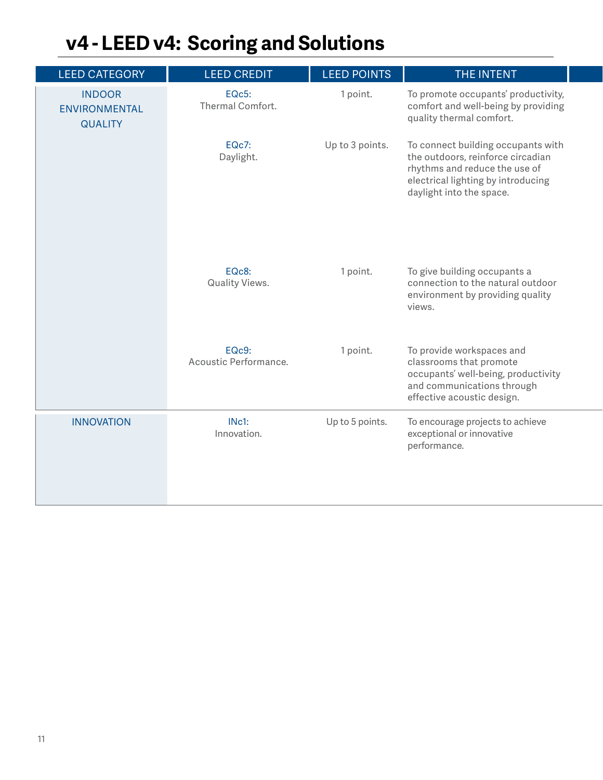## **v4 - LEED v4: Scoring and Solutions**

| <b>LEED CATEGORY</b>                                    | <b>LEED CREDIT</b>             | LEED POINTS     | THE INTENT                                                                                                                                                                 |  |
|---------------------------------------------------------|--------------------------------|-----------------|----------------------------------------------------------------------------------------------------------------------------------------------------------------------------|--|
| <b>INDOOR</b><br><b>ENVIRONMENTAL</b><br><b>QUALITY</b> | EQc5:<br>Thermal Comfort.      | 1 point.        | To promote occupants' productivity,<br>comfort and well-being by providing<br>quality thermal comfort.                                                                     |  |
|                                                         | EQc7:<br>Daylight.             | Up to 3 points. | To connect building occupants with<br>the outdoors, reinforce circadian<br>rhythms and reduce the use of<br>electrical lighting by introducing<br>daylight into the space. |  |
|                                                         | EQc8:<br>Quality Views.        | 1 point.        | To give building occupants a<br>connection to the natural outdoor<br>environment by providing quality<br>views.                                                            |  |
|                                                         | EQc9:<br>Acoustic Performance. | 1 point.        | To provide workspaces and<br>classrooms that promote<br>occupants' well-being, productivity<br>and communications through<br>effective acoustic design.                    |  |
| <b>INNOVATION</b>                                       | INc1:<br>Innovation.           | Up to 5 points. | To encourage projects to achieve<br>exceptional or innovative<br>performance.                                                                                              |  |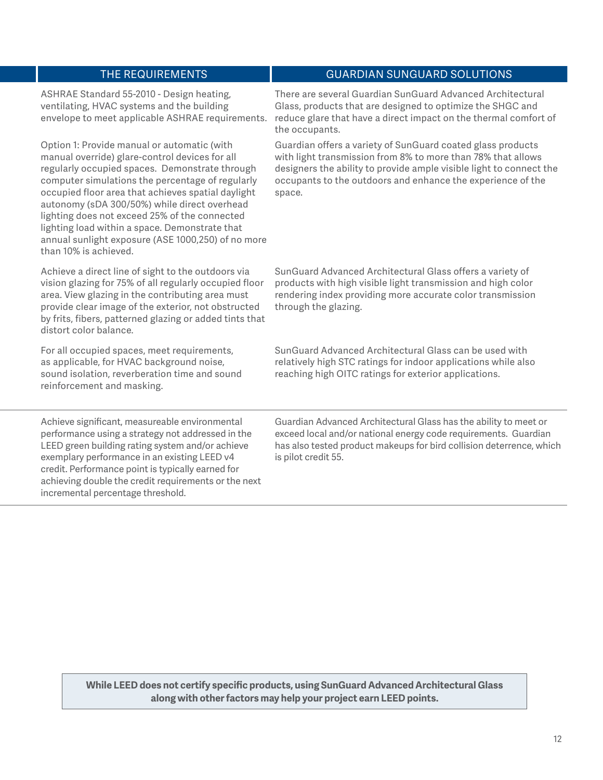| THE REQUIREMENTS                                                                                                                                                                                                                                                                                                                                                                                                                                                                            | <b>GUARDIAN SUNGUARD SOLUTIONS</b>                                                                                                                                                                                                                                          |
|---------------------------------------------------------------------------------------------------------------------------------------------------------------------------------------------------------------------------------------------------------------------------------------------------------------------------------------------------------------------------------------------------------------------------------------------------------------------------------------------|-----------------------------------------------------------------------------------------------------------------------------------------------------------------------------------------------------------------------------------------------------------------------------|
| ASHRAE Standard 55-2010 - Design heating,<br>ventilating, HVAC systems and the building<br>envelope to meet applicable ASHRAE requirements.                                                                                                                                                                                                                                                                                                                                                 | There are several Guardian SunGuard Advanced Architectural<br>Glass, products that are designed to optimize the SHGC and<br>reduce glare that have a direct impact on the thermal comfort of<br>the occupants.                                                              |
| Option 1: Provide manual or automatic (with<br>manual override) glare-control devices for all<br>regularly occupied spaces. Demonstrate through<br>computer simulations the percentage of regularly<br>occupied floor area that achieves spatial daylight<br>autonomy (sDA 300/50%) while direct overhead<br>lighting does not exceed 25% of the connected<br>lighting load within a space. Demonstrate that<br>annual sunlight exposure (ASE 1000,250) of no more<br>than 10% is achieved. | Guardian offers a variety of SunGuard coated glass products<br>with light transmission from 8% to more than 78% that allows<br>designers the ability to provide ample visible light to connect the<br>occupants to the outdoors and enhance the experience of the<br>space. |
| Achieve a direct line of sight to the outdoors via<br>vision glazing for 75% of all regularly occupied floor<br>area. View glazing in the contributing area must<br>provide clear image of the exterior, not obstructed<br>by frits, fibers, patterned glazing or added tints that<br>distort color balance.                                                                                                                                                                                | SunGuard Advanced Architectural Glass offers a variety of<br>products with high visible light transmission and high color<br>rendering index providing more accurate color transmission<br>through the glazing.                                                             |
| For all occupied spaces, meet requirements,<br>as applicable, for HVAC background noise,<br>sound isolation, reverberation time and sound<br>reinforcement and masking.                                                                                                                                                                                                                                                                                                                     | SunGuard Advanced Architectural Glass can be used with<br>relatively high STC ratings for indoor applications while also<br>reaching high OITC ratings for exterior applications.                                                                                           |
| Achieve significant, measureable environmental<br>performance using a strategy not addressed in the<br>LEED green building rating system and/or achieve<br>exemplary performance in an existing LEED v4<br>credit. Performance point is typically earned for<br>achieving double the credit requirements or the next<br>incremental percentage threshold.                                                                                                                                   | Guardian Advanced Architectural Glass has the ability to meet or<br>exceed local and/or national energy code requirements. Guardian<br>has also tested product makeups for bird collision deterrence, which<br>is pilot credit 55.                                          |

**While LEED does not certify specific products, using SunGuard Advanced Architectural Glass along with other factors may help your project earn LEED points.**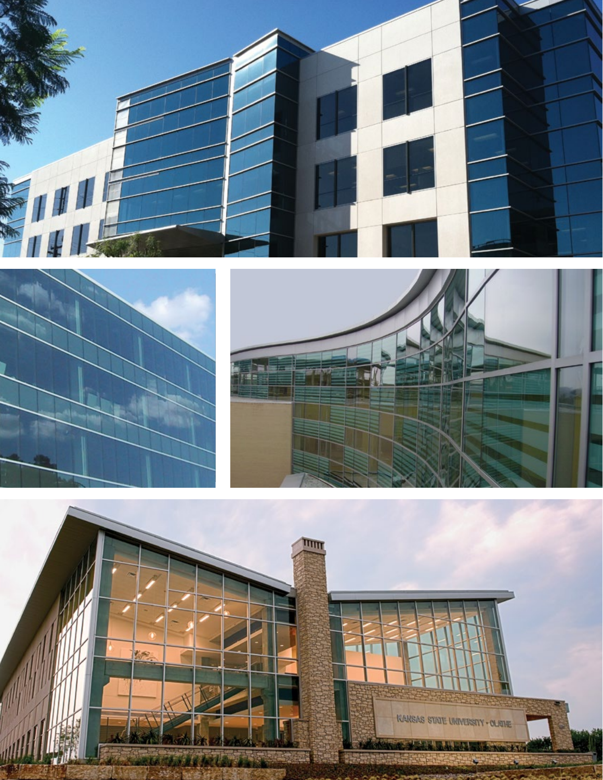





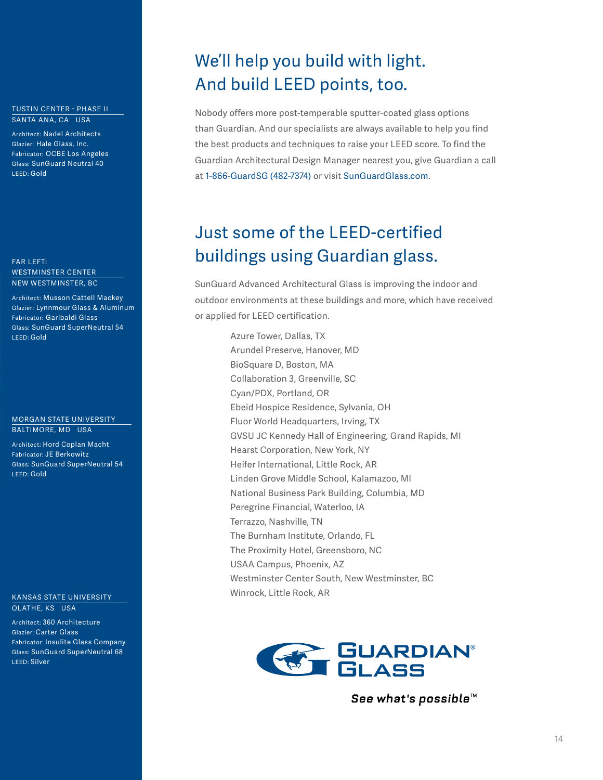TUSTIN CENTER - PHASE II SANTA ANA, CA USA

Architect: Nadel Architects Glazier: Hale Glass, Inc. Fabricator: OCBE Los Angeles Glass: SunGuard Neutral 40 LEED: Gold

FAR LEFT: WESTMINSTER CENTER NEW WESTMINSTER, BC

Architect: Musson Cattell Mackey Glazier: Lynnmour Glass & Aluminum Fabricator: Garibaldi Glass Glass: SunGuard SuperNeutral 54 LEED: Gold

#### MORGAN STATE UNIVERSITY BALTIMORE, MD USA

Architect: Hord Coplan Macht Fabricator: JE Berkowitz Glass: SunGuard SuperNeutral 54 LEED: Gold

#### KANSAS STATE UNIVERSITY OLATHE, KS USA

Architect: 360 Architecture Glazier: Carter Glass Fabricator: Insulite Glass Company Glass: SunGuard SuperNeutral 68 LEED: Silver

## We'll help you build with light. And build LEED points, too.

Nobody offers more post-temperable sputter-coated glass options than Guardian. And our specialists are always available to help you find the best products and techniques to raise your LEED score. To find the Guardian Architectural Design Manager nearest you, give Guardian a call at 1-866-GuardSG (482-7374) or visit SunGuardGlass.com.

## Just some of the LEED-certified buildings using Guardian glass.

SunGuard Advanced Architectural Glass is improving the indoor and outdoor environments at these buildings and more, which have received or applied for LEED certification.

> Azure Tower, Dallas, TX Arundel Preserve, Hanover, MD BioSquare D, Boston, MA Collaboration 3, Greenville, SC Cyan/PDX, Portland, OR Ebeid Hospice Residence, Sylvania, OH Fluor World Headquarters, Irving, TX GVSU JC Kennedy Hall of Engineering, Grand Rapids, MI Hearst Corporation, New York, NY Heifer International, Little Rock, AR Linden Grove Middle School, Kalamazoo, MI National Business Park Building, Columbia, MD Peregrine Financial, Waterloo, IA Terrazzo, Nashville, TN The Burnham Institute, Orlando, FL The Proximity Hotel, Greensboro, NC USAA Campus, Phoenix, AZ Westminster Center South, New Westminster, BC Winrock, Little Rock, AR



See what's possible™